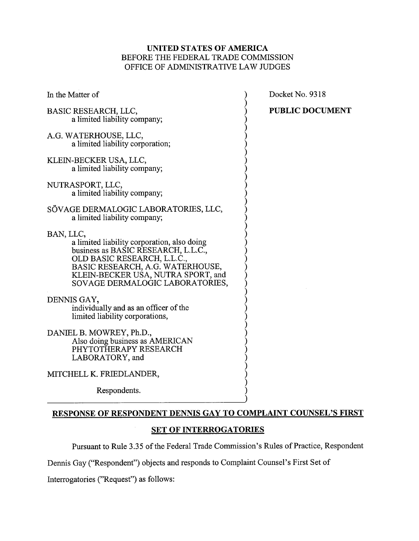## UNITED STATES OF AMERICA BEFORE THE FEDERAL TRADE COMMISSION OFFICE OF ADMINISTRATIVE LAW JUDGES

Docket No. 9318

) PUBLIC DOCUMENT

| In the Matter of                                                                                                                                                                                                                            |
|---------------------------------------------------------------------------------------------------------------------------------------------------------------------------------------------------------------------------------------------|
| BASIC RESEARCH, LLC,<br>a limited liability company;                                                                                                                                                                                        |
| A.G. WATERHOUSE, LLC,<br>a limited liability corporation;                                                                                                                                                                                   |
| KLEIN-BECKER USA, LLC,<br>a limited liability company;                                                                                                                                                                                      |
| NUTRASPORT, LLC,<br>a limited liability company;                                                                                                                                                                                            |
| SÖVAGE DERMALOGIC LABORATORIES, LLC,<br>a limited liability company;                                                                                                                                                                        |
| BAN, LLC,<br>a limited liability corporation, also doing<br>business as BASIC RESEARCH, L.L.C.,<br>OLD BASIC RESEARCH, L.L.C.,<br>BASIC RESEARCH, A.G. WATERHOUSE,<br>KLEIN-BECKER USA, NUTRA SPORT, and<br>SOVAGE DERMALOGIC LABORATORIES, |
| DENNIS GAY,<br>individually and as an officer of the<br>limited liability corporations,                                                                                                                                                     |
| DANIEL B. MOWREY, Ph.D.,<br>Also doing business as AMERICAN<br>PHYTOTHERAPY RESEARCH<br>LABORATORY, and                                                                                                                                     |
| MITCHELL K. FRIEDLANDER,                                                                                                                                                                                                                    |
| Respondents.                                                                                                                                                                                                                                |

RESPONSE OF RESPONDENT DENNIS GAY TO COMPLAINT COUNSEL'S FIRST

# **SET OF INTERROGATORIES**

Pursuant to Rule 3.35 of the Federal Trade Commission's Rules of Practice, Respondent

Dennis Gay ("Respondent") objects and responds to Complaint Counsel's First Set of

Interrogatories ("Request") as follows: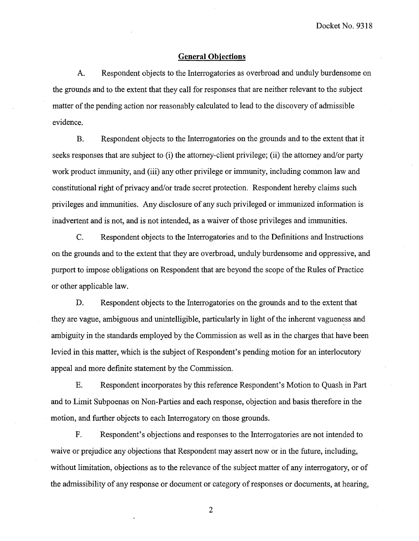#### **General Obiections**

**A.** Respondent objects to the Interrogatories as overbroad and unduly burdensome on the grounds and to the extent that they call for responses that are neither relevant to the subject matter of the pending action nor reasonably calculated to lead to the discovery of admissible evidence.

B. Respondent objects to the Interrogatories on the grounds and to the extent that it seeks responses that are subject to (i) the attorney-client privilege; (ii) the attorney and/or party work product immunity, and (iii) any other privilege or immunity, including common law and constitutional right of privacy and/or trade secret protection. Respondent hereby claims such privileges and immunities. Any disclosure of any such privileged or immunized information is inadvertent and is not, and is not intended, as a waiver of those privileges and immunities.

C. Respondent objects to the Interrogatories and to the Definitions and Instructions on the grounds and to the extent that they are overbroad, unduly burdensome and oppressive, and purport to impose obligations on Respondent that are beyond the scope of the Rules of Practice or other applicable law.

D. Respondent objects to the Interrogatories on the grounds and to the extent that they are vague, ambiguous and unintelligible, particularly in light of the inherent vagueness and ambiguity in the standards employed by the Commission as well as in the charges that have been levied in this matter, which is the subject of Respondent's pending motion for an interlocutory appeal and more definite statement by the Commission.

E. Respondent incorporates by this reference Respondent's Motion to Quash in Part and to Limit Subpoenas on Non-Parties and each response, objection and basis therefore in the motion, and further objects to each Interrogatory on those grounds.

F. Respondent's objections and responses to the Interrogatories are not intended to waive or prejudice any objections that Respondent may assert now or in the future, including, without limitation, objections as to the relevance of the subject matter of any interrogatory, or of the admissibility of any response or document or category of responses or documents, at hearing,

 $\overline{2}$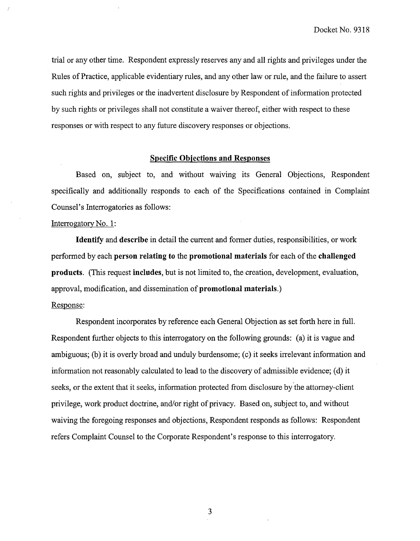trial or any other time. Respondent expressly reserves any and all rights and privileges under the Rules of Practice, applicable evidentiary rules, and any other law or rule, and the failure to assert such rights and privileges or the inadvertent disclosure by Respondent of information protected by such rights or privileges shall not constitute a waiver thereof, either with respect to these responses or with respect to any future discovery responses or objections.

#### Specific Obiections and Responses

Based on, subject to, and without waiving its General Objections, Respondent specifically and additionally responds to each of the Specifications contained in Complaint Counsel's Interrogatories as follows:

#### Interrogatory No. 1:

Identify and describe in detail the current and former duties, responsibilities, or work performed by each person relating to the promotional materials for each of the challenged products. (This request includes, but is not limited to, the creation, development, evaluation, approval, modification, and dissemination of promotional materials.)

## Response:

Respondent incorporates by reference each General Objection as set forth here in full. Respondent further objects to this interrogatory on the following grounds: (a) it is vague and ambiguous; (b) it is overly broad and unduly burdensome; (c) it seeks irrelevant information and information not reasonably calculated to lead to the discovery of admissible evidence; (d) it seeks, or the extent that it seeks, information protected from disclosure by the attorney-client privilege, work product doctrine, and/or right of privacy. Based on, subject to, and without waiving the foregoing responses and objections, Respondent responds as follows: Respondent refers Complaint Counsel to the Corporate Respondent's response to this interrogatory.

 $\mathfrak{Z}$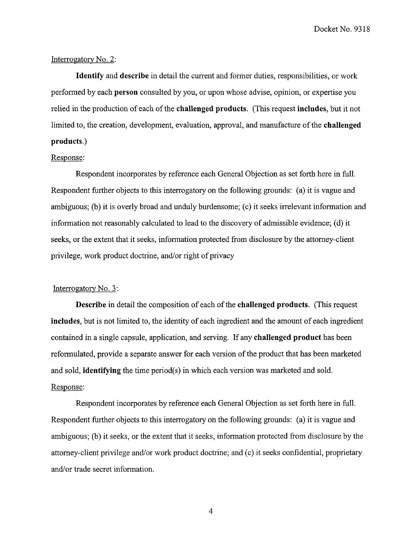### Interrogatory No. 2:

Identify and describe in detail the current and former duties, responsibilities, or work performed by each person consulted by you, or upon whose advise, opinion, or expertise you relied in the production of each of the challenged products. (This request includes, but it not limited to, the creation, development, evaluation, approval, and manufacture of the challenged products.)

### Response:

Respondent incorporates by reference each General Objection as set forth here in full. Respondent further objects to this interrogatory on the following grounds: (a) it is vague and ambiguous; (b) it is overly broad and unduly burdensome; (c) it seeks irrelevant information and information not reasonably calculated to lead to the discovery of admissible evidence; (d) it seeks, or the extent that it seeks, information protected from disclosure by the attorney-client privilege, work product doctrine, and/or right of privacy

#### Interrogatory No. 3:

Describe in detail the composition of each of the challenged products. (This request includes, but is not limited to, the identity of each ingredient and the amount of each ingredient contained in a single capsule, application, and serving. If any challenged product has been reformulated, provide a separate answer for each version of the product that has been marketed and sold, identifying the time period(s) in which each version was marketed and sold. Response:

Respondent incorporates by reference each General Objection as set forth here in full. Respondent further objects to this interrogatory on the following grounds: (a) it is vague and ambiguous; (b) it seeks, or the extent that it seeks, information protected from disclosure by the attorney-client privilege and/or work product doctrine; and (c) it seeks confidential, proprietary and/or trade secret information.

 $\overline{4}$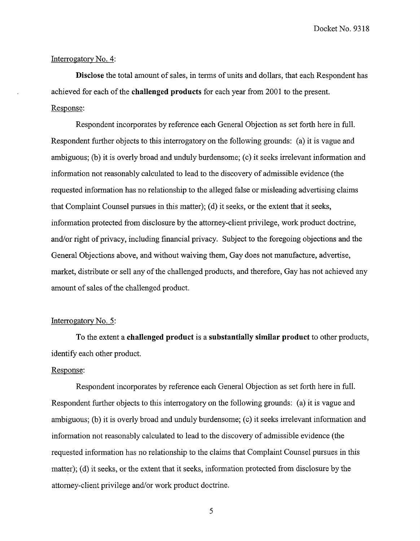#### Interrogatory No. 4:

**Disclose** the total amount of sales, in terms of units and dollars, that each Respondent has achieved for each of the **challenged products** for each year from 2001 to the present. Response:

Respondent incorporates by reference each General Objection as set forth here in full. Respondent further objects to this interrogatory on the following grounds: (a) it is vague and ambiguous; (b) it is overly broad and unduly burdensome; (c) it seeks irrelevant information and information not reasonably calculated to lead to the discovery of admissible evidence (the requested information has no relationship to the alleged false or misleading advertising claims that Complaint Counsel pursues in this matter); (d) it seeks, or the extent that it seeks, information protected from disclosure by the attorney-client privilege, work product doctrine, and/or right of privacy, including financial privacy. Subject to the foregoing objections and the General Objections above, and without waiving them, Gay does not manufacture, advertise, market, distribute or sell any of the challenged products, and therefore, Gay has not achieved any amount of sales of the challenged product.

#### Interrogatory No. 5:

To the extent a **challenged product** is a **substantially similar product** to other products, identify each other product.

### Response:

Respondent incorporates by reference each General Objection as set forth here in full. Respondent further objects to this interrogatory on the following grounds: (a) it is vague and ambiguous; (b) it is overly broad and unduly burdensome; (c) it seeks irrelevant information and information not reasonably calculated to lead to the discovery of admissible evidence (the requested information has no relationship to the claims that Complaint Counsel pursues in this matter); (d) it seeks, or the extent that it seeks, information protected from disclosure by the attorney-client privilege and/or work product doctrine.

5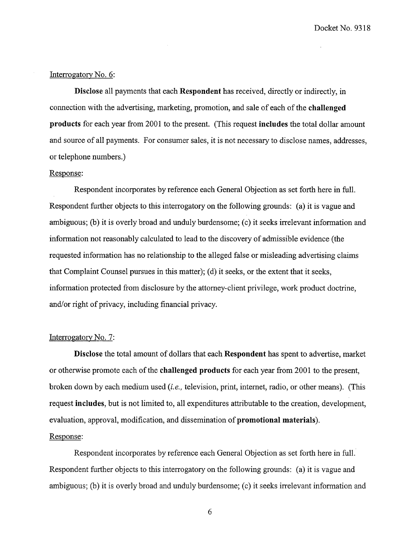## Interrogatory No. 6:

Disclose all payments that each Respondent has received, directly or indirectly, in connection with the advertising, marketing, promotion, and sale of each of the challenged products for each year from 2001 to the present. (This request includes the total dollar amount and source of all payments. For consumer sales, it is not necessary to disclose names, addresses, or telephone numbers.)

### Response:

Respondent incorporates by reference each General Objection as set forth here in full. Respondent further objects to this interrogatory on the following grounds: (a) it is vague and ambiguous; (b) it is overly broad and unduly burdensome; (c) it seeks irrelevant information and information not reasonably calculated to lead to the discovery of admissible evidence (the requested information has no relationship to the alleged false or misleading advertising claims that Complaint Counsel pursues in this matter); (d) it seeks, or the extent that it seeks, information protected from disclosure by the attorney-client privilege, work product doctrine, and/or right of privacy, including financial privacy.

#### Interrogatory No. 7:

Disclose the total amount of dollars that each Respondent has spent to advertise, market or otherwise promote each of the challenged products for each year from 2001 to the present, broken down by each medium used *(i.e.,* television, print, internet, radio, or other means). (This request includes, but is not limited to, all expenditures attributable to the creation, development, evaluation, approval, modification, and dissemination of promotional materials). Response:

Respondent incorporates by reference each General Objection as set forth here in full. Respondent further objects to this interrogatory on the following grounds: (a) it is vague and ambiguous; (b) it is overly broad and unduly burdensome; (c) it seeks irrelevant information and

 $\sqrt{6}$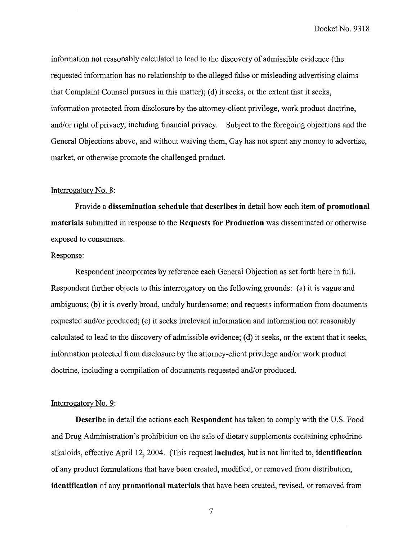information not reasonably calculated to lead to the discovery of admissible evidence (the requested information has no relationship to the alleged false or misleading advertising claims that Complaint Counsel pursues in this matter); (d) it seeks, or the extent that it seeks, information protected from disclosure by the attorney-client privilege, work product doctrine, and/or right of privacy, including financial privacy. Subject to the foregoing objections and the General Objections above, and without waiving them, Gay has not spent any money to advertise, market, or otherwise promote the challenged product.

## Interrogatory No. 8:

Provide a **dissemination schedule** that **describes** in detail how each item **of promotional materials** submitted in response to the **Requests for Production** was disseminated or otherwise exposed to consumers.

### Response:

Respondent incorporates by reference each General Objection as set forth here in full. Respondent further objects to this interrogatory on the following grounds: (a) it is vague and ambiguous; (b) it is overly broad, unduly burdensome; and requests information from documents requested and/or produced; (c) it seeks irrelevant information and information not reasonably calculated to lead to the discovery of admissible evidence; (d) it seeks, or the extent that it seeks, information protected from disclosure by the attorney-client privilege and/or work product doctrine, including a compilation of documents requested and/or produced.

### Interrogatory No. 9:

**Describe** in detail the actions each **Respondent** has taken to comply with the U.S. Food and Drug Administration's prohibition on the sale of dietary supplements containing ephedrine alkaloids, effective April 12,2004. (This request **includes,** but is not limited to, **identification**  of any product formulations that have been created, modified, or removed from distribution, **identification** of any **promotional materials** that have been created, revised, or removed from

 $\boldsymbol{7}$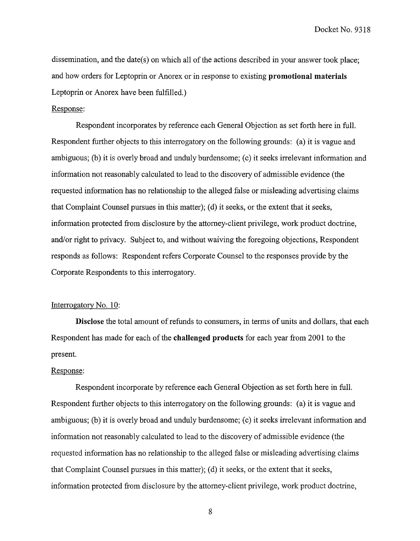dissemination, and the date(s) on which all of the actions described in your answer took place; and how orders for Leptoprin or Anorex or in response to existing **promotional materials**  Leptoprin or Anorex have been fulfilled.)

#### Response:

Respondent incorporates by reference each General Objection as set forth here in full. Respondent further objects to this interrogatory on the following grounds: (a) it is vague and ambiguous; (b) it is overly broad and unduly burdensome; (c) it seeks irrelevant information and information not reasonably calculated to lead to the discovery of admissible evidence (the requested information has no relationship to the alleged false or misleading advertising claims that Complaint Counsel pursues in this matter); (d) it seeks, or the extent that it seeks, information protected from disclosure by the attorney-client privilege, work product doctrine, and/or right to privacy. Subject to, and without waiving the foregoing objections, Respondent responds as follows: Respondent refers Corporate Counsel to the responses provide by the Corporate Respondents to this interrogatory.

#### Interrogatory No. 10:

**Disclose** the total amount of refunds to consumers, in terms of units and dollars, that each Respondent has made for each of the **challenged products** for each year from 2001 to the present.

## Response:

Respondent incorporate by reference each General Objection as set forth here in full. Respondent further objects to this interrogatory on the following grounds: (a) it is vague and ambiguous; (b) it is overly broad and unduly burdensome; (c) it seeks irrelevant information and information not reasonably calculated to lead to the discovery of admissible evidence (the requested information has no relationship to the alleged false or misleading advertising claims that Complaint Counsel pursues in this matter); (d) it seeks, or the extent that it seeks, information protected from disclosure by the attorney-client privilege, work product doctrine,

8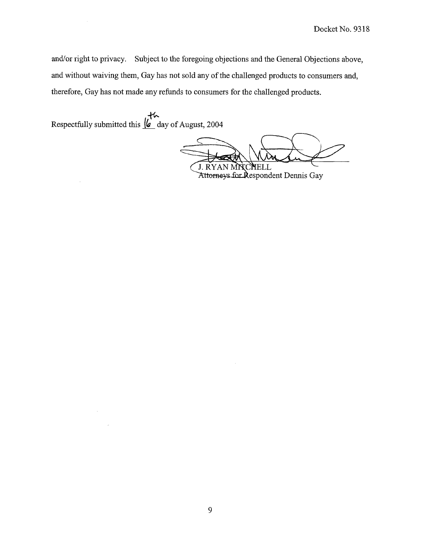and/or right to privacy. Subject to the foregoing objections and the General Objections above, and without waiving them, Gay has not sold any of the challenged products to consumers and, therefore, Gay has not made any refunds to consumers for the challenged products.

سالم بال<br>Respectfully submitted this <u>le</u> day of August, 2004

J.

J. RYAN MIIC YELL

Attorneys for Respondent Dennis Gay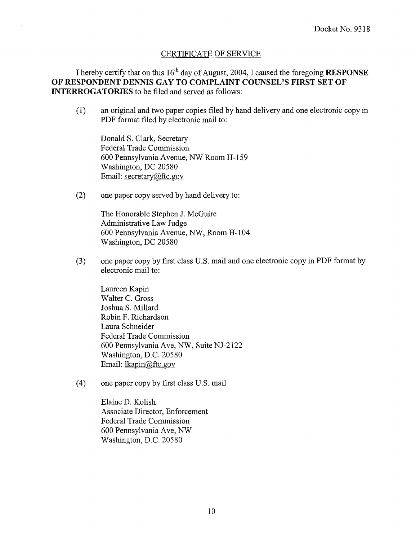## CERTIFICATE OF SERVICE

I hereby certify that on this 16<sup>th</sup> day of August, 2004, I caused the foregoing **RESPONSE OF RESPONDENT DENNIS GAY TO COMPLAINT COUNSEL'S FIRST SET OF INTERROGATORIES** to be filed and served as follows:

(1) an original and two paper copies filed by hand delivery and one electronic copy in PDF format filed by electronic mail to:

Donald S. Clark, Secretary Federal Trade Commission 600 Pennsylvania Avenue, NW Room H-159 Washington, DC 20580 Email: secretary@ftc.gov

(2) one paper copy served by hand delivery to:

The Honorable Stephen J. McGuire Administrative Law Judge 600 Pennsylvania Avenue, NW, Room H-104 Washington, DC 20580

(3) one paper copy by first class U.S. mail and one electronic copy in PDF format by electronic mail to:

Laureen Kapin Walter C. Gross Joshua S. Millard Robin F. Richardson Laura Schneider Federal Trade Commission 600 Pennsylvania Ave, NW, Suite NJ-2122 Washington, D.C. 20580 Email: lkapin@ftc.gov

(4) one paper copy by first class U.S. mail

Elaine D. Kolish Associate Director, Enforcement Federal Trade Commission 600 Pennsylvania Ave, NW Washington, D.C. 20580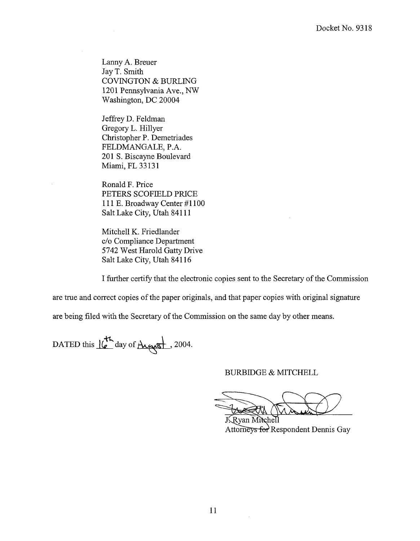Lanny A. Breuer Jay T. Smith COVINGTON & BURLING 1201 Pennsylvania Ave., NW Washington, DC 20004

Jeffrey D. Feldman Gregory L. Hillyer Christopher P. Demetriades FELDMANGALE, P.A. 201 S. Biscayne Boulevard Miami, FL 33131

Ronald F. Price PETERS SCOFIELD PRICE 111 E. Broadway Center #1100 Salt Lake City, Utah 841 11

Mitchell K. Friedlander C/O Compliance Department 5742 West Harold Gatty Drive Salt Lake City, Utah 841 16

I further certify that the electronic copies sent to the Secretary of the Commission

are true and correct copies of the paper originals, and that paper copies with original signature

are being filed with the Secretary of the Commission on the same day by other means.

DATED this  $16^{\frac{1}{2}}$  day of August, 2004.

### BURBIDGE & MITCHELL

KRyan Mitchell Attorneys for Respondent Dennis Gay